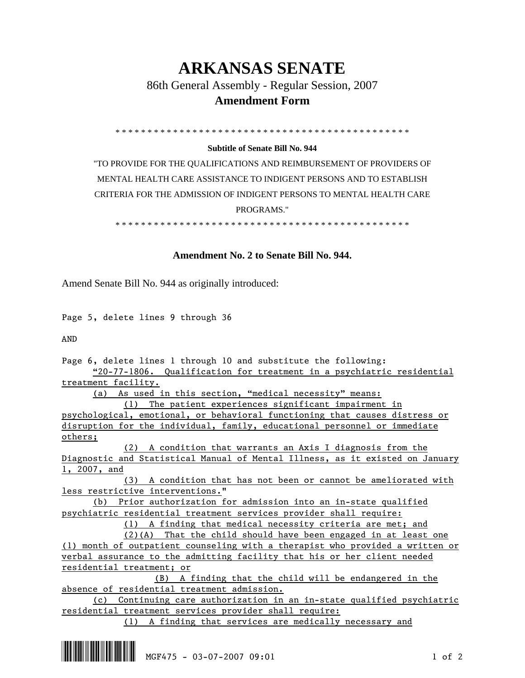# **ARKANSAS SENATE**

86th General Assembly - Regular Session, 2007

## **Amendment Form**

\* \* \* \* \* \* \* \* \* \* \* \* \* \* \* \* \* \* \* \* \* \* \* \* \* \* \* \* \* \* \* \* \* \* \* \* \* \* \* \* \* \* \* \* \* \*

## **Subtitle of Senate Bill No. 944**

"TO PROVIDE FOR THE QUALIFICATIONS AND REIMBURSEMENT OF PROVIDERS OF MENTAL HEALTH CARE ASSISTANCE TO INDIGENT PERSONS AND TO ESTABLISH CRITERIA FOR THE ADMISSION OF INDIGENT PERSONS TO MENTAL HEALTH CARE PROGRAMS."

\* \* \* \* \* \* \* \* \* \* \* \* \* \* \* \* \* \* \* \* \* \* \* \* \* \* \* \* \* \* \* \* \* \* \* \* \* \* \* \* \* \* \* \* \* \*

## **Amendment No. 2 to Senate Bill No. 944.**

Amend Senate Bill No. 944 as originally introduced:

Page 5, delete lines 9 through 36

AND

Page 6, delete lines 1 through 10 and substitute the following: "20-77-1806. Qualification for treatment in a psychiatric residential

treatment facility.

(a) As used in this section, "medical necessity" means:

 (1) The patient experiences significant impairment in psychological, emotional, or behavioral functioning that causes distress or disruption for the individual, family, educational personnel or immediate others;

 (2) A condition that warrants an Axis I diagnosis from the Diagnostic and Statistical Manual of Mental Illness, as it existed on January 1, 2007, and

 (3) A condition that has not been or cannot be ameliorated with less restrictive interventions."

 (b) Prior authorization for admission into an in-state qualified psychiatric residential treatment services provider shall require:

(1) A finding that medical necessity criteria are met; and

 (2)(A) That the child should have been engaged in at least one (1) month of outpatient counseling with a therapist who provided a written or verbal assurance to the admitting facility that his or her client needed residential treatment; or

 (B) A finding that the child will be endangered in the absence of residential treatment admission.

 (c) Continuing care authorization in an in-state qualified psychiatric residential treatment services provider shall require:

(1) A finding that services are medically necessary and